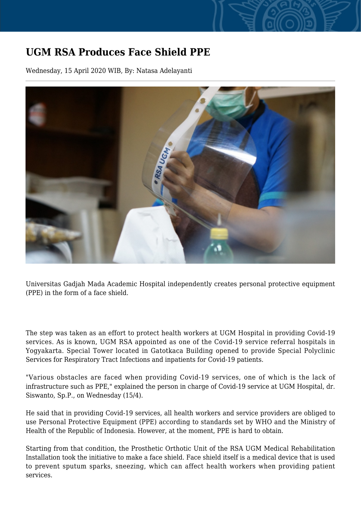## **UGM RSA Produces Face Shield PPE**

Wednesday, 15 April 2020 WIB, By: Natasa Adelayanti



Universitas Gadjah Mada Academic Hospital independently creates personal protective equipment (PPE) in the form of a face shield.

The step was taken as an effort to protect health workers at UGM Hospital in providing Covid-19 services. As is known, UGM RSA appointed as one of the Covid-19 service referral hospitals in Yogyakarta. Special Tower located in Gatotkaca Building opened to provide Special Polyclinic Services for Respiratory Tract Infections and inpatients for Covid-19 patients.

"Various obstacles are faced when providing Covid-19 services, one of which is the lack of infrastructure such as PPE," explained the person in charge of Covid-19 service at UGM Hospital, dr. Siswanto, Sp.P., on Wednesday (15/4).

He said that in providing Covid-19 services, all health workers and service providers are obliged to use Personal Protective Equipment (PPE) according to standards set by WHO and the Ministry of Health of the Republic of Indonesia. However, at the moment, PPE is hard to obtain.

Starting from that condition, the Prosthetic Orthotic Unit of the RSA UGM Medical Rehabilitation Installation took the initiative to make a face shield. Face shield itself is a medical device that is used to prevent sputum sparks, sneezing, which can affect health workers when providing patient services.